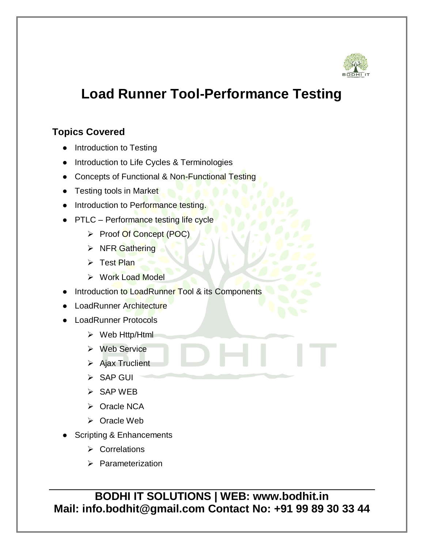

## **Load Runner Tool-Performance Testing**

## **Topics Covered**

- Introduction to Testing
- Introduction to Life Cycles & Terminologies
- Concepts of Functional & Non-Functional Testing
- Testing tools in Market
- Introduction to Performance testing.
- PTLC Performance testing life cycle
	- Proof Of Concept (POC)
	- $\triangleright$  NFR Gathering
	- $\triangleright$  Test Plan
	- ▶ Work Load Model
- Introduction to LoadRunner Tool & its Components
- LoadRunner Architecture
- **LoadRunner Protocols** 
	- Web Http/Html
	- $\triangleright$  Web Service
	- $\triangleright$  Ajax Truclient
	- $\triangleright$  SAP GUI
	- $\triangleright$  SAP WEB
	- > Oracle NCA
	- Oracle Web
- Scripting & Enhancements
	- **▶ Correlations**
	- $\triangleright$  Parameterization

**BODHI IT SOLUTIONS | WEB: www.bodhit.in Mail: info.bodhit@gmail.com Contact No: +91 99 89 30 33 44**